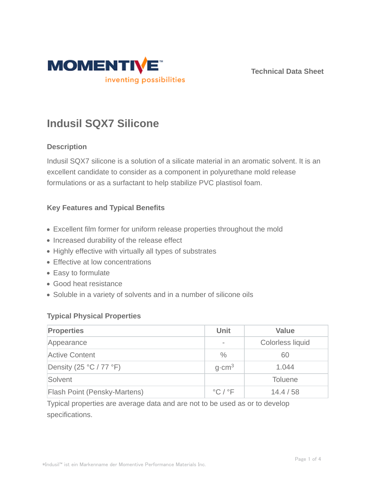

**Technical Data Sheet**

# **Indusil SQX7 Silicone**

## **Description**

Indusil SQX7 silicone is a solution of a silicate material in an aromatic solvent. It is an excellent candidate to consider as a component in polyurethane mold release formulations or as a surfactant to help stabilize PVC plastisol foam.

#### **Key Features and Typical Benefits**

- Excellent film former for uniform release properties throughout the mold
- Increased durability of the release effect
- Highly effective with virtually all types of substrates
- Effective at low concentrations
- Easy to formulate
- Good heat resistance
- Soluble in a variety of solvents and in a number of silicone oils

#### **Typical Physical Properties**

| <b>Properties</b>                         | <b>Unit</b>                 | <b>Value</b>     |
|-------------------------------------------|-----------------------------|------------------|
| Appearance                                |                             | Colorless liquid |
| Active Content                            | $\%$                        | 60               |
| Density (25 $\degree$ C / 77 $\degree$ F) | $q$ cm <sup>3</sup>         | 1.044            |
| Solvent                                   |                             | <b>Toluene</b>   |
| <b>Flash Point (Pensky-Martens)</b>       | $^{\circ}$ C / $^{\circ}$ F | 14.4/58          |

Typical properties are average data and are not to be used as or to develop specifications.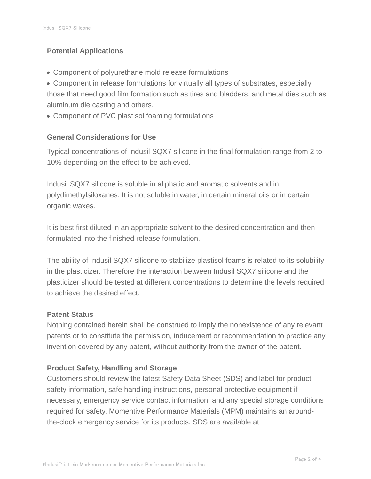# **Potential Applications**

- Component of polyurethane mold release formulations
- Component in release formulations for virtually all types of substrates, especially those that need good film formation such as tires and bladders, and metal dies such as aluminum die casting and others.
- Component of PVC plastisol foaming formulations

# **General Considerations for Use**

Typical concentrations of Indusil SQX7 silicone in the final formulation range from 2 to 10% depending on the effect to be achieved.

Indusil SQX7 silicone is soluble in aliphatic and aromatic solvents and in polydimethylsiloxanes. It is not soluble in water, in certain mineral oils or in certain organic waxes.

It is best first diluted in an appropriate solvent to the desired concentration and then formulated into the finished release formulation.

The ability of Indusil SQX7 silicone to stabilize plastisol foams is related to its solubility in the plasticizer. Therefore the interaction between Indusil SQX7 silicone and the plasticizer should be tested at different concentrations to determine the levels required to achieve the desired effect.

## **Patent Status**

Nothing contained herein shall be construed to imply the nonexistence of any relevant patents or to constitute the permission, inducement or recommendation to practice any invention covered by any patent, without authority from the owner of the patent.

## **Product Safety, Handling and Storage**

Customers should review the latest Safety Data Sheet (SDS) and label for product safety information, safe handling instructions, personal protective equipment if necessary, emergency service contact information, and any special storage conditions required for safety. Momentive Performance Materials (MPM) maintains an aroundthe-clock emergency service for its products. SDS are available at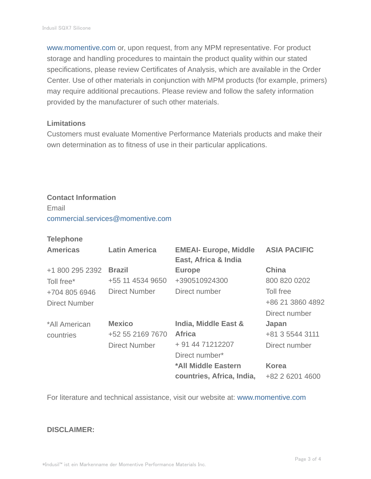www.momentive.com or, upon request, from any MPM representative. For product storage and handling procedures to maintain the product quality within our stated specifications, please review Certificates of Analysis, which are available in the Order Center. Use of other materials in conjunction with MPM products (for example, primers) may require additional precautions. Please review and follow the safety information provided by the manufacturer of such other materials.

#### **Limitations**

Customers must evaluate Momentive Performance Materials products and make their own determination as to fitness of use in their particular applications.

# **Contact Information**

Email commercial.services@momentive.com

#### **Telephone**

| <b>Americas</b> | <b>Latin America</b> | <b>EMEAI- Europe, Middle</b><br>East, Africa & India | <b>ASIA PACIFIC</b> |
|-----------------|----------------------|------------------------------------------------------|---------------------|
| +1 800 295 2392 | <b>Brazil</b>        | <b>Europe</b>                                        | <b>China</b>        |
| Toll free*      | +55 11 4534 9650     | +390510924300                                        | 800 820 0202        |
| +704 805 6946   | <b>Direct Number</b> | Direct number                                        | Toll free           |
| Direct Number   |                      |                                                      | +86 21 3860 4892    |
|                 |                      |                                                      | Direct number       |
| *All American   | <b>Mexico</b>        | India, Middle East &                                 | Japan               |
| countries       | +52 55 2169 7670     | <b>Africa</b>                                        | +81 3 5544 3111     |
|                 | <b>Direct Number</b> | + 91 44 71212207                                     | Direct number       |
|                 |                      | Direct number*                                       |                     |
|                 |                      | *All Middle Eastern                                  | <b>Korea</b>        |
|                 |                      | countries, Africa, India,                            | +82 2 6201 4600     |

For literature and technical assistance, visit our website at: www.momentive.com

#### **DISCLAIMER:**